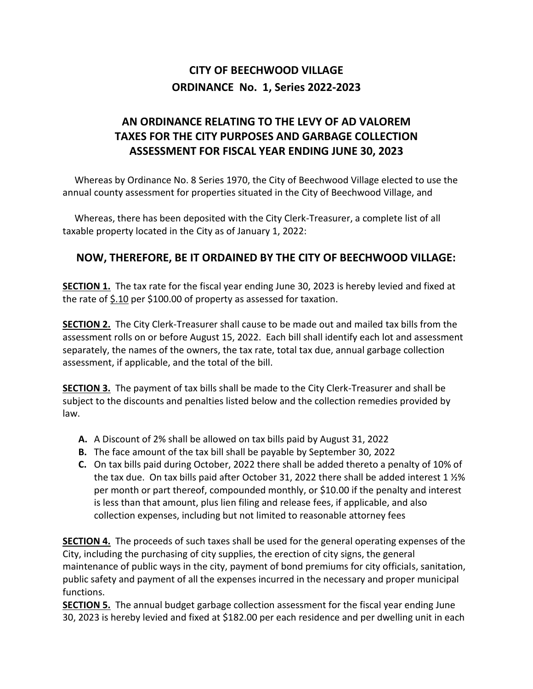## **CITY OF BEECHWOOD VILLAGE ORDINANCE No. 1, Series 2022-2023**

## **AN ORDINANCE RELATING TO THE LEVY OF AD VALOREM TAXES FOR THE CITY PURPOSES AND GARBAGE COLLECTION ASSESSMENT FOR FISCAL YEAR ENDING JUNE 30, 2023**

 Whereas by Ordinance No. 8 Series 1970, the City of Beechwood Village elected to use the annual county assessment for properties situated in the City of Beechwood Village, and

 Whereas, there has been deposited with the City Clerk-Treasurer, a complete list of all taxable property located in the City as of January 1, 2022:

## **NOW, THEREFORE, BE IT ORDAINED BY THE CITY OF BEECHWOOD VILLAGE:**

**SECTION 1.** The tax rate for the fiscal year ending June 30, 2023 is hereby levied and fixed at the rate of \$.10 per \$100.00 of property as assessed for taxation.

**SECTION 2.** The City Clerk-Treasurer shall cause to be made out and mailed tax bills from the assessment rolls on or before August 15, 2022. Each bill shall identify each lot and assessment separately, the names of the owners, the tax rate, total tax due, annual garbage collection assessment, if applicable, and the total of the bill.

**SECTION 3.** The payment of tax bills shall be made to the City Clerk-Treasurer and shall be subject to the discounts and penalties listed below and the collection remedies provided by law.

- **A.** A Discount of 2% shall be allowed on tax bills paid by August 31, 2022
- **B.** The face amount of the tax bill shall be payable by September 30, 2022
- **C.** On tax bills paid during October, 2022 there shall be added thereto a penalty of 10% of the tax due. On tax bills paid after October 31, 2022 there shall be added interest 1 ½% per month or part thereof, compounded monthly, or \$10.00 if the penalty and interest is less than that amount, plus lien filing and release fees, if applicable, and also collection expenses, including but not limited to reasonable attorney fees

**SECTION 4.** The proceeds of such taxes shall be used for the general operating expenses of the City, including the purchasing of city supplies, the erection of city signs, the general maintenance of public ways in the city, payment of bond premiums for city officials, sanitation, public safety and payment of all the expenses incurred in the necessary and proper municipal functions.

**SECTION 5.** The annual budget garbage collection assessment for the fiscal year ending June 30, 2023 is hereby levied and fixed at \$182.00 per each residence and per dwelling unit in each